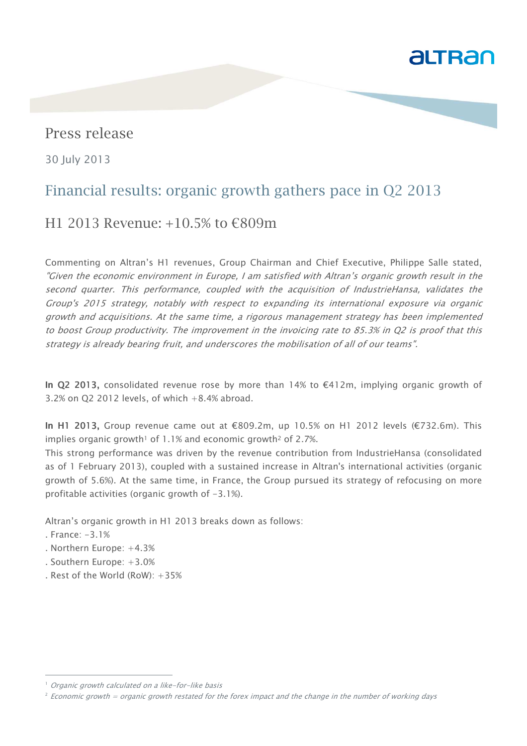

## Press release

30 July 2013

# Financial results: organic growth gathers pace in Q2 2013

## H1 2013 Revenue: +10.5% to €809m

Commenting on Altran's H1 revenues, Group Chairman and Chief Executive, Philippe Salle stated, "Given the economic environment in Europe, I am satisfied with Altran's organic growth result in the second quarter. This performance, coupled with the acquisition of IndustrieHansa, validates the Group's 2015 strategy, notably with respect to expanding its international exposure via organic growth and acquisitions. At the same time, a rigorous management strategy has been implemented to boost Group productivity. The improvement in the invoicing rate to 85.3% in Q2 is proof that this strategy is already bearing fruit, and underscores the mobilisation of all of our teams".

In Q2 2013, consolidated revenue rose by more than 14% to  $\epsilon$ 412m, implying organic growth of 3.2% on Q2 2012 levels, of which  $+8.4%$  abroad.

In H1 2013, Group revenue came out at €809.2m, up 10.5% on H1 2012 levels (€732.6m). This implies organic growth<sup>1</sup> of  $1.1\%$  and economic growth<sup>2</sup> of 2.7%.

This strong performance was driven by the revenue contribution from IndustrieHansa (consolidated as of 1 February 2013), coupled with a sustained increase in Altran's international activities (organic growth of 5.6%). At the same time, in France, the Group pursued its strategy of refocusing on more profitable activities (organic growth of -3.1%).

Altran's organic growth in H1 2013 breaks down as follows:

. France: -3.1%

j

- . Northern Europe: +4.3%
- . Southern Europe: +3.0%
- . Rest of the World (RoW): +35%

<sup>&</sup>lt;sup>1</sup> Organic growth calculated on a like-for-like basis

 $^2$  Economic growth = organic growth restated for the forex impact and the change in the number of working days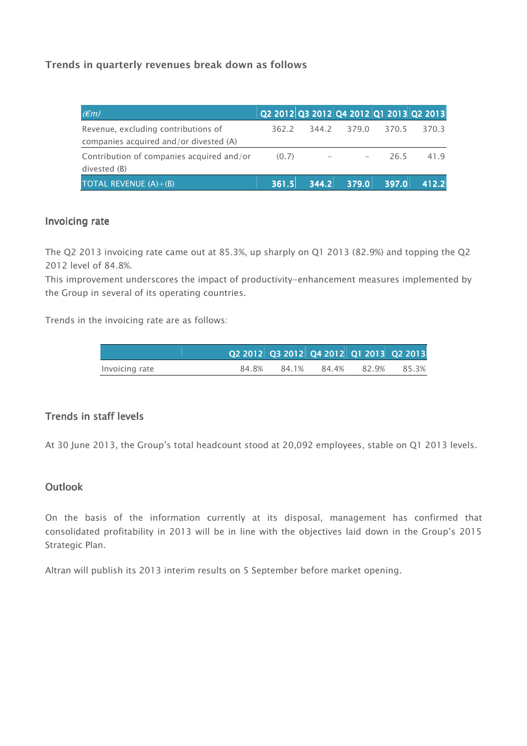## **Trends in quarterly revenues break down as follows**

| $(\epsilon m)$                                                                |       |       |                          |       | Q2 2012 Q3 2012 Q4 2012 Q1 2013 Q2 2013 |
|-------------------------------------------------------------------------------|-------|-------|--------------------------|-------|-----------------------------------------|
| Revenue, excluding contributions of<br>companies acquired and/or divested (A) | 362.2 | 344.2 | 379.0                    | 370.5 | 370.3                                   |
| Contribution of companies acquired and/or<br>divested (B)                     | (0.7) |       | $\overline{\phantom{m}}$ | 26.5  | 41.9                                    |
| TOTAL REVENUE $(A)+(B)$                                                       | 361.5 | 344.2 | 379.0.                   | 397.0 | 412.2                                   |

#### Invoicing rate

The Q2 2013 invoicing rate came out at 85.3%, up sharply on Q1 2013 (82.9%) and topping the Q2 2012 level of 84.8%.

This improvement underscores the impact of productivity-enhancement measures implemented by the Group in several of its operating countries.

Trends in the invoicing rate are as follows:

|                |       | Q2 2012 Q3 2012 Q4 2012 Q1 2013 Q2 2013 |       |       |       |
|----------------|-------|-----------------------------------------|-------|-------|-------|
| Invoicing rate | 84.8% | 84.1%                                   | 84.4% | 82.9% | 85.3% |

### Trends in staff levels

At 30 June 2013, the Group's total headcount stood at 20,092 employees, stable on Q1 2013 levels.

### **Outlook**

On the basis of the information currently at its disposal, management has confirmed that consolidated profitability in 2013 will be in line with the objectives laid down in the Group's 2015 Strategic Plan.

Altran will publish its 2013 interim results on 5 September before market opening.